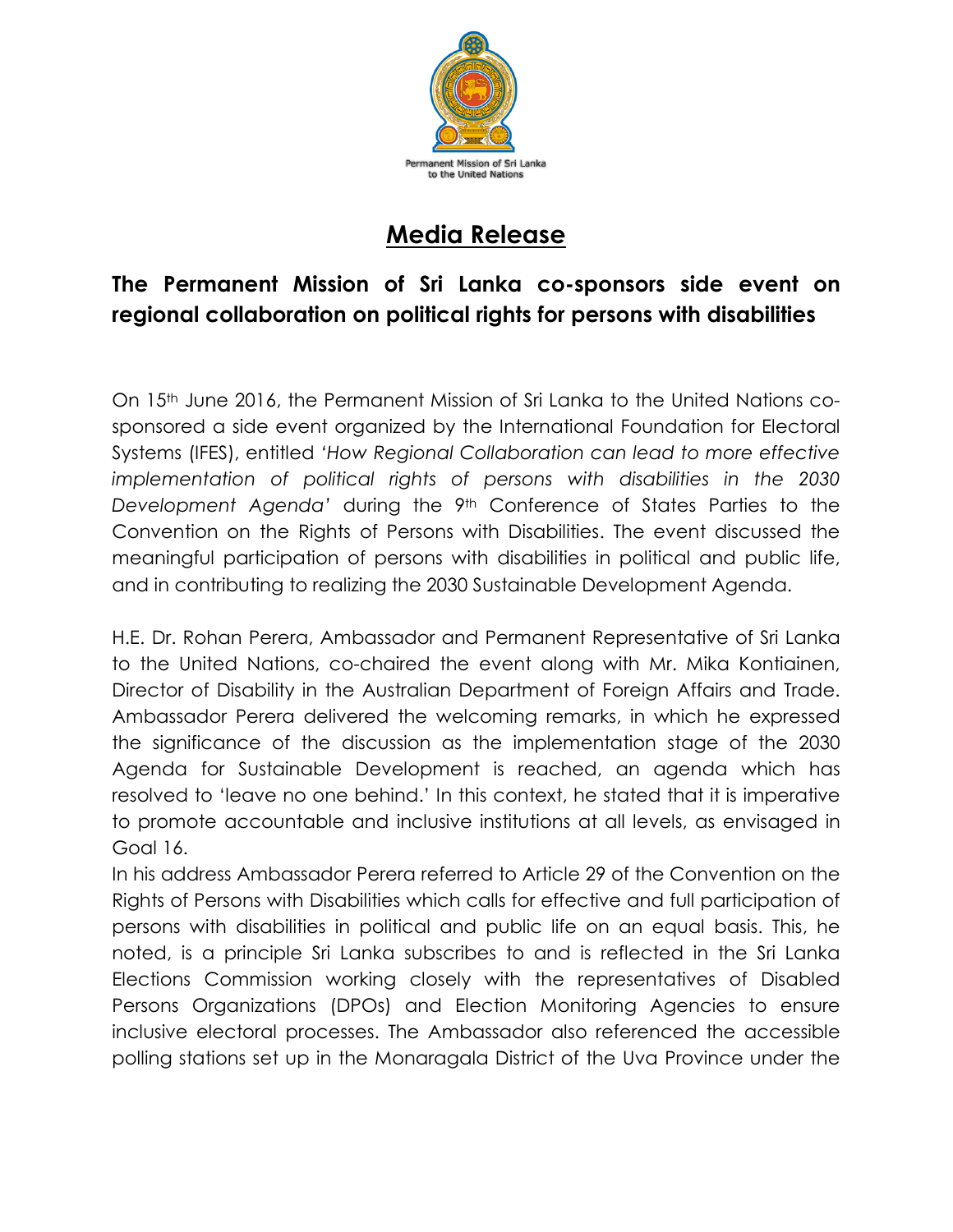

## **Media Release**

## **The Permanent Mission of Sri Lanka co-sponsors side event on regional collaboration on political rights for persons with disabilities**

On 15th June 2016, the Permanent Mission of Sri Lanka to the United Nations cosponsored a side event organized by the International Foundation for Electoral Systems (IFES), entitled *'How Regional Collaboration can lead to more effective implementation of political rights of persons with disabilities in the 2030 Development Agenda'* during the 9th Conference of States Parties to the Convention on the Rights of Persons with Disabilities. The event discussed the meaningful participation of persons with disabilities in political and public life, and in contributing to realizing the 2030 Sustainable Development Agenda.

H.E. Dr. Rohan Perera, Ambassador and Permanent Representative of Sri Lanka to the United Nations, co-chaired the event along with Mr. Mika Kontiainen, Director of Disability in the Australian Department of Foreign Affairs and Trade. Ambassador Perera delivered the welcoming remarks, in which he expressed the significance of the discussion as the implementation stage of the 2030 Agenda for Sustainable Development is reached, an agenda which has resolved to 'leave no one behind.' In this context, he stated that it is imperative to promote accountable and inclusive institutions at all levels, as envisaged in Goal 16.

In his address Ambassador Perera referred to Article 29 of the Convention on the Rights of Persons with Disabilities which calls for effective and full participation of persons with disabilities in political and public life on an equal basis. This, he noted, is a principle Sri Lanka subscribes to and is reflected in the Sri Lanka Elections Commission working closely with the representatives of Disabled Persons Organizations (DPOs) and Election Monitoring Agencies to ensure inclusive electoral processes. The Ambassador also referenced the accessible polling stations set up in the Monaragala District of the Uva Province under the